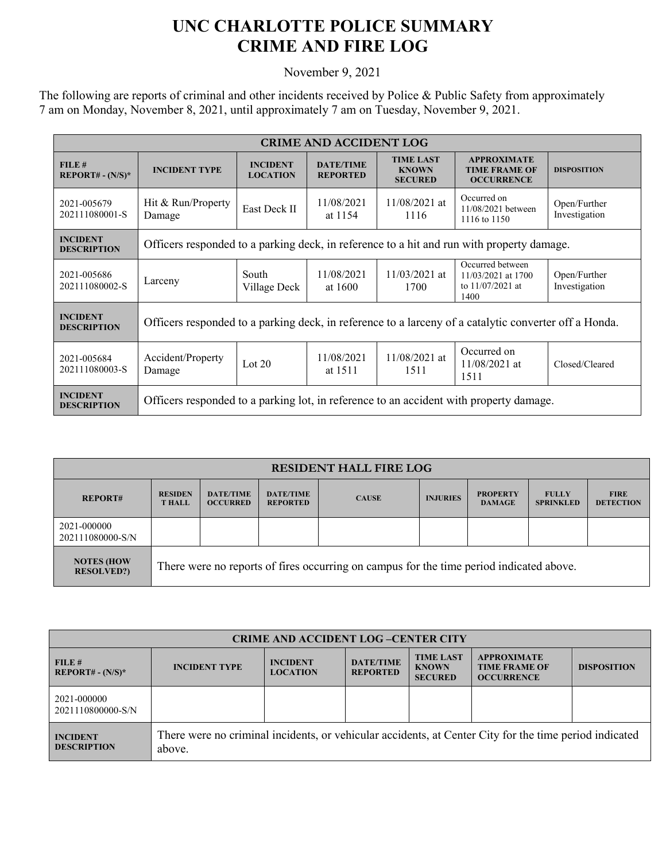## **UNC CHARLOTTE POLICE SUMMARY CRIME AND FIRE LOG**

November 9, 2021

The following are reports of criminal and other incidents received by Police & Public Safety from approximately 7 am on Monday, November 8, 2021, until approximately 7 am on Tuesday, November 9, 2021.

| <b>CRIME AND ACCIDENT LOG</b>         |                                                                                                       |                                    |                                     |                                                    |                                                                      |                               |  |
|---------------------------------------|-------------------------------------------------------------------------------------------------------|------------------------------------|-------------------------------------|----------------------------------------------------|----------------------------------------------------------------------|-------------------------------|--|
| FILE#<br>$REPORT# - (N/S)*$           | <b>INCIDENT TYPE</b>                                                                                  | <b>INCIDENT</b><br><b>LOCATION</b> | <b>DATE/TIME</b><br><b>REPORTED</b> | <b>TIME LAST</b><br><b>KNOWN</b><br><b>SECURED</b> | <b>APPROXIMATE</b><br><b>TIME FRAME OF</b><br><b>OCCURRENCE</b>      | <b>DISPOSITION</b>            |  |
| 2021-005679<br>202111080001-S         | Hit & Run/Property<br>Damage                                                                          | East Deck II                       | 11/08/2021<br>at 1154               | $11/08/2021$ at<br>1116                            | Occurred on<br>11/08/2021 between<br>1116 to 1150                    | Open/Further<br>Investigation |  |
| <b>INCIDENT</b><br><b>DESCRIPTION</b> | Officers responded to a parking deck, in reference to a hit and run with property damage.             |                                    |                                     |                                                    |                                                                      |                               |  |
| 2021-005686<br>202111080002-S         | Larceny                                                                                               | South<br>Village Deck              | 11/08/2021<br>at 1600               | $11/03/2021$ at<br>1700                            | Occurred between<br>11/03/2021 at 1700<br>to $11/07/2021$ at<br>1400 | Open/Further<br>Investigation |  |
| <b>INCIDENT</b><br><b>DESCRIPTION</b> | Officers responded to a parking deck, in reference to a larceny of a catalytic converter off a Honda. |                                    |                                     |                                                    |                                                                      |                               |  |
| 2021-005684<br>202111080003-S         | Accident/Property<br>Damage                                                                           | Lot $20$                           | 11/08/2021<br>at 1511               | 11/08/2021 at<br>1511                              | Occurred on<br>$11/08/2021$ at<br>1511                               | Closed/Cleared                |  |
| <b>INCIDENT</b><br><b>DESCRIPTION</b> | Officers responded to a parking lot, in reference to an accident with property damage.                |                                    |                                     |                                                    |                                                                      |                               |  |

| <b>RESIDENT HALL FIRE LOG</b>          |                                                                                         |                                     |                                     |              |                 |                                  |                                  |                                 |
|----------------------------------------|-----------------------------------------------------------------------------------------|-------------------------------------|-------------------------------------|--------------|-----------------|----------------------------------|----------------------------------|---------------------------------|
| <b>REPORT#</b>                         | <b>RESIDEN</b><br><b>T HALL</b>                                                         | <b>DATE/TIME</b><br><b>OCCURRED</b> | <b>DATE/TIME</b><br><b>REPORTED</b> | <b>CAUSE</b> | <b>INJURIES</b> | <b>PROPERTY</b><br><b>DAMAGE</b> | <b>FULLY</b><br><b>SPRINKLED</b> | <b>FIRE</b><br><b>DETECTION</b> |
| 2021-000000<br>202111080000-S/N        |                                                                                         |                                     |                                     |              |                 |                                  |                                  |                                 |
| <b>NOTES (HOW</b><br><b>RESOLVED?)</b> | There were no reports of fires occurring on campus for the time period indicated above. |                                     |                                     |              |                 |                                  |                                  |                                 |

| <b>CRIME AND ACCIDENT LOG-CENTER CITY</b> |                                                                                                                  |                                    |                                     |                                                    |                                                                 |                    |  |
|-------------------------------------------|------------------------------------------------------------------------------------------------------------------|------------------------------------|-------------------------------------|----------------------------------------------------|-----------------------------------------------------------------|--------------------|--|
| FILE H<br>$REPORT# - (N/S)*$              | <b>INCIDENT TYPE</b>                                                                                             | <b>INCIDENT</b><br><b>LOCATION</b> | <b>DATE/TIME</b><br><b>REPORTED</b> | <b>TIME LAST</b><br><b>KNOWN</b><br><b>SECURED</b> | <b>APPROXIMATE</b><br><b>TIME FRAME OF</b><br><b>OCCURRENCE</b> | <b>DISPOSITION</b> |  |
| 2021-000000<br>2021110800000-S/N          |                                                                                                                  |                                    |                                     |                                                    |                                                                 |                    |  |
| <b>INCIDENT</b><br><b>DESCRIPTION</b>     | There were no criminal incidents, or vehicular accidents, at Center City for the time period indicated<br>above. |                                    |                                     |                                                    |                                                                 |                    |  |